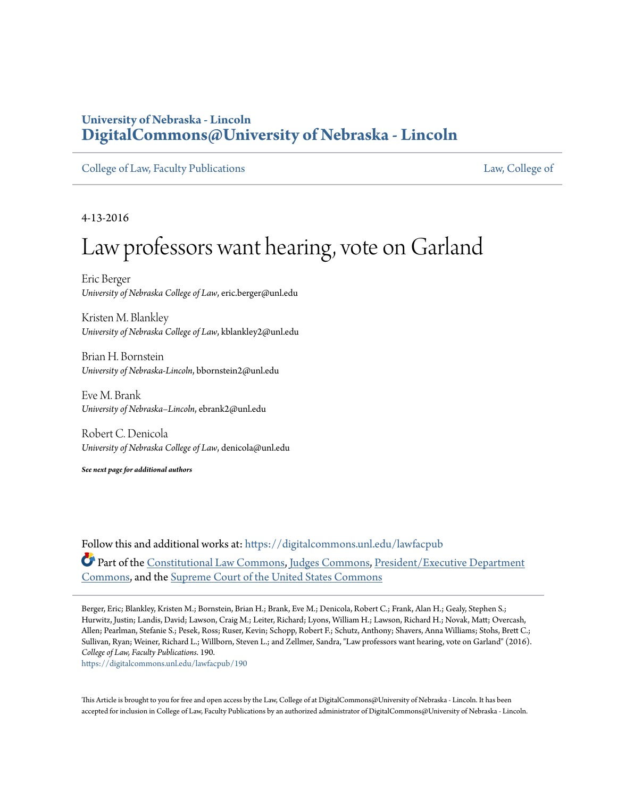## **University of Nebraska - Lincoln [DigitalCommons@University of Nebraska - Lincoln](https://digitalcommons.unl.edu?utm_source=digitalcommons.unl.edu%2Flawfacpub%2F190&utm_medium=PDF&utm_campaign=PDFCoverPages)**

[College of Law, Faculty Publications](https://digitalcommons.unl.edu/lawfacpub?utm_source=digitalcommons.unl.edu%2Flawfacpub%2F190&utm_medium=PDF&utm_campaign=PDFCoverPages) [Law, College of](https://digitalcommons.unl.edu/law?utm_source=digitalcommons.unl.edu%2Flawfacpub%2F190&utm_medium=PDF&utm_campaign=PDFCoverPages)

4-13-2016

## Law professors want hearing, vote on Garland

Eric Berger *University of Nebraska College of Law*, eric.berger@unl.edu

Kristen M. Blankley *University of Nebraska College of Law*, kblankley2@unl.edu

Brian H. Bornstein *University of Nebraska-Lincoln*, bbornstein2@unl.edu

Eve M. Brank *University of Nebraska–Lincoln*, ebrank2@unl.edu

Robert C. Denicola *University of Nebraska College of Law*, denicola@unl.edu

*See next page for additional authors*

Follow this and additional works at: [https://digitalcommons.unl.edu/lawfacpub](https://digitalcommons.unl.edu/lawfacpub?utm_source=digitalcommons.unl.edu%2Flawfacpub%2F190&utm_medium=PDF&utm_campaign=PDFCoverPages) Part of the [Constitutional Law Commons,](http://network.bepress.com/hgg/discipline/589?utm_source=digitalcommons.unl.edu%2Flawfacpub%2F190&utm_medium=PDF&utm_campaign=PDFCoverPages) [Judges Commons](http://network.bepress.com/hgg/discipline/849?utm_source=digitalcommons.unl.edu%2Flawfacpub%2F190&utm_medium=PDF&utm_campaign=PDFCoverPages), [President/Executive Department](http://network.bepress.com/hgg/discipline/1118?utm_source=digitalcommons.unl.edu%2Flawfacpub%2F190&utm_medium=PDF&utm_campaign=PDFCoverPages) [Commons,](http://network.bepress.com/hgg/discipline/1118?utm_source=digitalcommons.unl.edu%2Flawfacpub%2F190&utm_medium=PDF&utm_campaign=PDFCoverPages) and the [Supreme Court of the United States Commons](http://network.bepress.com/hgg/discipline/1350?utm_source=digitalcommons.unl.edu%2Flawfacpub%2F190&utm_medium=PDF&utm_campaign=PDFCoverPages)

Berger, Eric; Blankley, Kristen M.; Bornstein, Brian H.; Brank, Eve M.; Denicola, Robert C.; Frank, Alan H.; Gealy, Stephen S.; Hurwitz, Justin; Landis, David; Lawson, Craig M.; Leiter, Richard; Lyons, William H.; Lawson, Richard H.; Novak, Matt; Overcash, Allen; Pearlman, Stefanie S.; Pesek, Ross; Ruser, Kevin; Schopp, Robert F.; Schutz, Anthony; Shavers, Anna Williams; Stohs, Brett C.; Sullivan, Ryan; Weiner, Richard L.; Willborn, Steven L.; and Zellmer, Sandra, "Law professors want hearing, vote on Garland" (2016). *College of Law, Faculty Publications*. 190.

[https://digitalcommons.unl.edu/lawfacpub/190](https://digitalcommons.unl.edu/lawfacpub/190?utm_source=digitalcommons.unl.edu%2Flawfacpub%2F190&utm_medium=PDF&utm_campaign=PDFCoverPages)

This Article is brought to you for free and open access by the Law, College of at DigitalCommons@University of Nebraska - Lincoln. It has been accepted for inclusion in College of Law, Faculty Publications by an authorized administrator of DigitalCommons@University of Nebraska - Lincoln.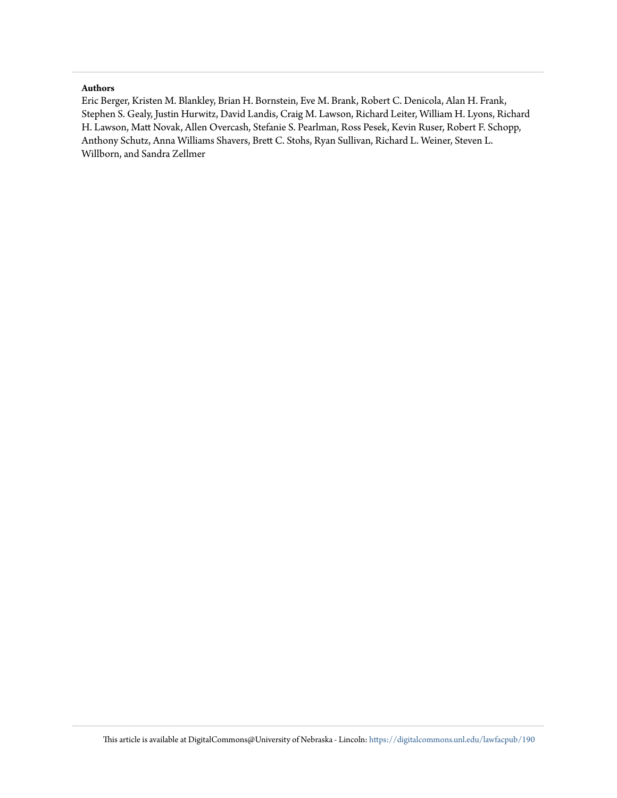## **Authors**

Eric Berger, Kristen M. Blankley, Brian H. Bornstein, Eve M. Brank, Robert C. Denicola, Alan H. Frank, Stephen S. Gealy, Justin Hurwitz, David Landis, Craig M. Lawson, Richard Leiter, William H. Lyons, Richard H. Lawson, Matt Novak, Allen Overcash, Stefanie S. Pearlman, Ross Pesek, Kevin Ruser, Robert F. Schopp, Anthony Schutz, Anna Williams Shavers, Brett C. Stohs, Ryan Sullivan, Richard L. Weiner, Steven L. Willborn, and Sandra Zellmer